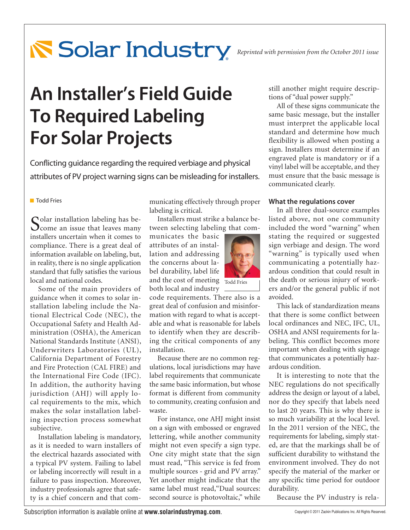# **Reprinted with permission from the October 2011 issue**

# **An Installer's Field Guide To Required Labeling For Solar Projects**

Conflicting guidance regarding the required verbiage and physical attributes of PV project warning signs can be misleading for installers.

#### **Todd Fries**

Colar installation labeling has be-**O** come an issue that leaves many installers uncertain when it comes to compliance. There is a great deal of information available on labeling, but, in reality, there is no single application standard that fully satisfies the various local and national codes.

Some of the main providers of guidance when it comes to solar installation labeling include the National Electrical Code (NEC), the Occupational Safety and Health Administration (OSHA), the American National Standards Institute (ANSI), Underwriters Laboratories (UL), California Department of Forestry and Fire Protection (CAL FIRE) and the International Fire Code (IFC). In addition, the authority having jurisdiction (AHJ) will apply local requirements to the mix, which makes the solar installation labeling inspection process somewhat subjective.

Installation labeling is mandatory, as it is needed to warn installers of the electrical hazards associated with a typical PV system. Failing to label or labeling incorrectly will result in a failure to pass inspection. Moreover, industry professionals agree that safety is a chief concern and that communicating effectively through proper labeling is critical.

Installers must strike a balance between selecting labeling that com-

municates the basic attributes of an installation and addressing the concerns about label durability, label life and the cost of meeting Todd Fries both local and industry



code requirements. There also is a great deal of confusion and misinformation with regard to what is acceptable and what is reasonable for labels to identify when they are describing the critical components of any installation.

Because there are no common regulations, local jurisdictions may have label requirements that communicate the same basic information, but whose format is different from community to community, creating confusion and waste.

For instance, one AHJ might insist on a sign with embossed or engraved lettering, while another community might not even specify a sign type. One city might state that the sign must read, "This service is fed from multiple sources - grid and PV array." Yet another might indicate that the same label must read,"Dual sources: second source is photovoltaic," while still another might require descriptions of "dual power supply."

All of these signs communicate the same basic message, but the installer must interpret the applicable local standard and determine how much flexibility is allowed when posting a sign. Installers must determine if an engraved plate is mandatory or if a vinyl label will be acceptable, and they must ensure that the basic message is communicated clearly.

## **What the regulations cover**

In all three dual-source examples listed above, not one community included the word "warning" when stating the required or suggested sign verbiage and design. The word "warning" is typically used when communicating a potentially hazardous condition that could result in the death or serious injury of workers and/or the general public if not avoided.

This lack of standardization means that there is some conflict between local ordinances and NEC, IFC, UL, OSHA and ANSI requirements for labeling. This conflict becomes more important when dealing with signage that communicates a potentially hazardous condition.

It is interesting to note that the NEC regulations do not specifically address the design or layout of a label, nor do they specify that labels need to last 20 years. This is why there is so much variability at the local level. In the 2011 version of the NEC, the requirements for labeling, simply stated, are that the markings shall be of sufficient durability to withstand the environment involved. They do not specify the material of the marker or any specific time period for outdoor durability.

Because the PV industry is rela-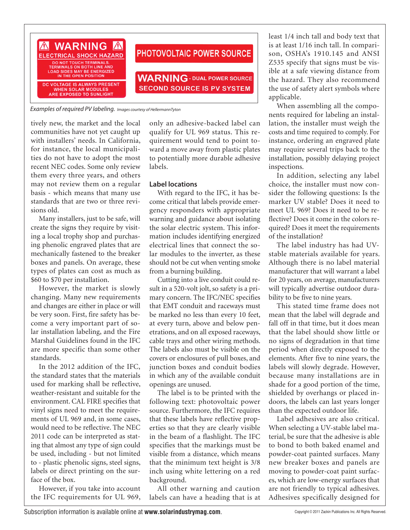

*Examples of required PV labeling.**Images courtesy of HellermannTyton*

tively new, the market and the local communities have not yet caught up with installers' needs. In California, for instance, the local municipalities do not have to adopt the most recent NEC codes. Some only review them every three years, and others may not review them on a regular basis - which means that many use standards that are two or three revisions old.

Many installers, just to be safe, will create the signs they require by visiting a local trophy shop and purchasing phenolic engraved plates that are mechanically fastened to the breaker boxes and panels. On average, these types of plates can cost as much as \$60 to \$70 per installation.

However, the market is slowly changing. Many new requirements and changes are either in place or will be very soon. First, fire safety has become a very important part of solar installation labeling, and the Fire Marshal Guidelines found in the IFC are more specific than some other standards.

In the 2012 addition of the IFC, the standard states that the materials used for marking shall be reflective, weather-resistant and suitable for the environment. CAL FIRE specifies that vinyl signs need to meet the requirements of UL 969 and, in some cases, would need to be reflective. The NEC 2011 code can be interpreted as stating that almost any type of sign could be used, including - but not limited to - plastic phenolic signs, steel signs, labels or direct printing on the surface of the box.

However, if you take into account the IFC requirements for UL 969, only an adhesive-backed label can qualify for UL 969 status. This requirement would tend to point toward a move away from plastic plates to potentially more durable adhesive labels.

## **Label locations**

With regard to the IFC, it has become critical that labels provide emergency responders with appropriate warning and guidance about isolating the solar electric system. This information includes identifying energized electrical lines that connect the solar modules to the inverter, as these should not be cut when venting smoke from a burning building.

Cutting into a live conduit could result in a 520-volt jolt, so safety is a primary concern. The IFC/NEC specifies that EMT conduit and raceways must be marked no less than every 10 feet, at every turn, above and below penetrations, and on all exposed raceways, cable trays and other wiring methods. The labels also must be visible on the covers or enclosures of pull boxes, and junction boxes and conduit bodies in which any of the available conduit openings are unused.

The label is to be printed with the following text: photovoltaic power source. Furthermore, the IFC requires that these labels have reflective properties so that they are clearly visible in the beam of a flashlight. The IFC specifies that the markings must be visible from a distance, which means that the minimum text height is 3/8 inch using white lettering on a red background.

All other warning and caution labels can have a heading that is at least 1/4 inch tall and body text that is at least 1/16 inch tall. In comparison, OSHA's 1910.145 and ANSI Z535 specify that signs must be visible at a safe viewing distance from the hazard. They also recommend the use of safety alert symbols where applicable.

When assembling all the components required for labeling an installation, the installer must weigh the costs and time required to comply. For instance, ordering an engraved plate may require several trips back to the installation, possibly delaying project inspections.

In addition, selecting any label choice, the installer must now consider the following questions: Is the marker UV stable? Does it need to meet UL 969? Does it need to be reflective? Does it come in the colors required? Does it meet the requirements of the installation?

The label industry has had UVstable materials available for years. Although there is no label material manufacturer that will warrant a label for 20 years, on average, manufacturers will typically advertise outdoor durability to be five to nine years.

This stated time frame does not mean that the label will degrade and fall off in that time, but it does mean that the label should show little or no signs of degradation in that time period when directly exposed to the elements. After five to nine years, the labels will slowly degrade. However, because many installations are in shade for a good portion of the time, shielded by overhangs or placed indoors, the labels can last years longer than the expected outdoor life.

Label adhesives are also critical. When selecting a UV-stable label material, be sure that the adhesive is able to bond to both baked enamel and powder-coat painted surfaces. Many new breaker boxes and panels are moving to powder-coat paint surfaces, which are low-energy surfaces that are not friendly to typical adhesives. Adhesives specifically designed for